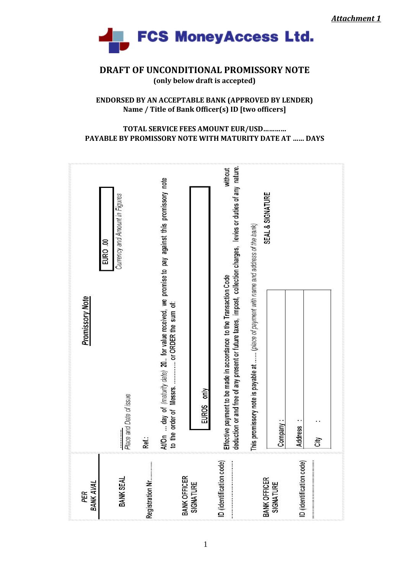

**DRAFT OF UNCONDITIONAL PROMISSORY NOTE (only below draft is accepted)** 

#### **ENDORSED BY AN ACCEPTABLE BANK (APPROVED BY LENDER) Name / Title of Bank Officer(s) ID [two officers]**

#### **TOTAL SERVICE FEES AMOUNT EUR/USD………… PAYABLE BY PROMISSORY NOTE WITH MATURITY DATE AT …… DAYS**

| EURO .00<br><b>Promissory Note</b> | Currency and Amount in Figures | At/On  day of (maturity date) 20 for value received, we promise to pay against this promissory note |                                         | deduction or and free of any present or future taxes, impost, collection charges, levies or duties of any nature.<br>without | SEAL & SIGNATURE<br>This promissory note is payable at  (place of payment with name and address of the bank) |                  |                         |      |
|------------------------------------|--------------------------------|-----------------------------------------------------------------------------------------------------|-----------------------------------------|------------------------------------------------------------------------------------------------------------------------------|--------------------------------------------------------------------------------------------------------------|------------------|-------------------------|------|
|                                    | Place and Date of issue<br>    | Ref.:                                                                                               | only<br><b>EUROS</b>                    | Effective payment to be made in accordance to the Transaction Code                                                           |                                                                                                              | Company:         | ٠.<br><b>Address</b>    | ćity |
| BANK AVAL<br>PER                   | BANK SEAL                      | Registration Nr                                                                                     | <b>BANK OFFICER</b><br><b>SIGNATURE</b> | ID (identification code)                                                                                                     | <b>BANK OFFICER</b>                                                                                          | <b>SIGNATURE</b> | D (identification code) |      |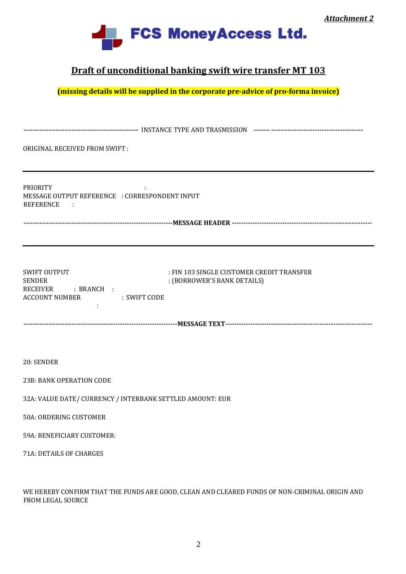

### **Draft of unconditional banking swift wire transfer MT 103**

**(missing details will be supplied in the corporate pre-advice of pro-forma invoice)** 

| ORIGINAL RECEIVED FROM SWIFT:                                                                        |                                                                          |  |  |  |  |
|------------------------------------------------------------------------------------------------------|--------------------------------------------------------------------------|--|--|--|--|
| <b>PRIORITY</b><br>MESSAGE OUTPUT REFERENCE : CORRESPONDENT INPUT<br>REFERENCE :                     |                                                                          |  |  |  |  |
| <b>SWIFT OUTPUT</b><br><b>SENDER</b><br>RECEIVER : BRANCH :<br><b>ACCOUNT NUMBER</b><br>: SWIFT CODE | : FIN 103 SINGLE CUSTOMER CREDIT TRANSFER<br>: (BORROWER'S BANK DETAILS) |  |  |  |  |
|                                                                                                      |                                                                          |  |  |  |  |
|                                                                                                      |                                                                          |  |  |  |  |
| 20: SENDER                                                                                           |                                                                          |  |  |  |  |
| 23B: BANK OPERATION CODE                                                                             |                                                                          |  |  |  |  |
| 32A: VALUE DATE/ CURRENCY / INTERBANK SETTLED AMOUNT: EUR                                            |                                                                          |  |  |  |  |
| 50A: ORDERING CUSTOMER                                                                               |                                                                          |  |  |  |  |
| 59A: BENEFICIARY CUSTOMER:                                                                           |                                                                          |  |  |  |  |
| 71A: DETAILS OF CHARGES                                                                              |                                                                          |  |  |  |  |
|                                                                                                      |                                                                          |  |  |  |  |

WE HEREBY CONFIRM THAT THE FUNDS ARE GOOD, CLEAN AND CLEARED FUNDS OF NON‐CRIMINAL ORIGIN AND FROM LEGAL SOURCE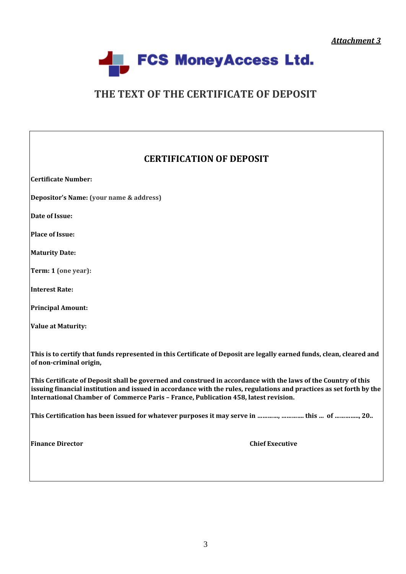*Attachment 3*



# **THE TEXT OF THE CERTIFICATE OF DEPOSIT**

## **CERTIFICATION OF DEPOSIT**

| <b>Certificate Number:</b>                                                                                                                                                                                                                                                                                                    |
|-------------------------------------------------------------------------------------------------------------------------------------------------------------------------------------------------------------------------------------------------------------------------------------------------------------------------------|
| Depositor's Name: (your name & address)                                                                                                                                                                                                                                                                                       |
| Date of Issue:                                                                                                                                                                                                                                                                                                                |
| Place of Issue:                                                                                                                                                                                                                                                                                                               |
| <b>Maturity Date:</b>                                                                                                                                                                                                                                                                                                         |
| Term: 1 (one year):                                                                                                                                                                                                                                                                                                           |
| Interest Rate:                                                                                                                                                                                                                                                                                                                |
| <b>Principal Amount:</b>                                                                                                                                                                                                                                                                                                      |
| <b>Value at Maturity:</b>                                                                                                                                                                                                                                                                                                     |
| This is to certify that funds represented in this Certificate of Deposit are legally earned funds, clean, cleared and<br>of non-criminal origin,                                                                                                                                                                              |
| This Certificate of Deposit shall be governed and construed in accordance with the laws of the Country of this<br>issuing financial institution and issued in accordance with the rules, regulations and practices as set forth by the<br>International Chamber of Commerce Paris - France, Publication 458, latest revision. |
| This Certification has been issued for whatever purposes it may serve in ,  this  of , 20                                                                                                                                                                                                                                     |
| <b>Finance Director</b><br><b>Chief Executive</b>                                                                                                                                                                                                                                                                             |
|                                                                                                                                                                                                                                                                                                                               |